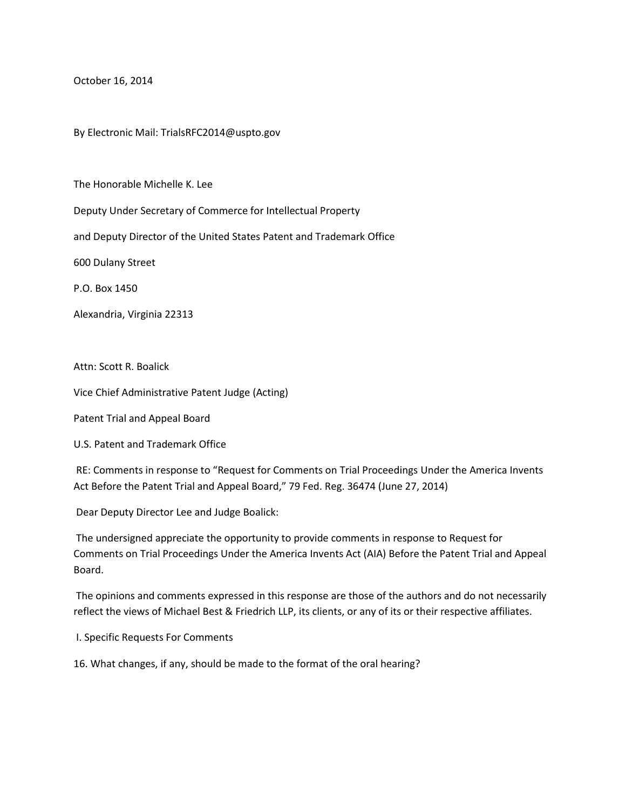October 16, 2014

By Electronic Mail: TrialsRFC2014@uspto.gov

The Honorable Michelle K. Lee

Deputy Under Secretary of Commerce for Intellectual Property

and Deputy Director of the United States Patent and Trademark Office

600 Dulany Street

P.O. Box 1450

Alexandria, Virginia 22313

Attn: Scott R. Boalick

Vice Chief Administrative Patent Judge (Acting)

Patent Trial and Appeal Board

U.S. Patent and Trademark Office

RE: Comments in response to "Request for Comments on Trial Proceedings Under the America Invents Act Before the Patent Trial and Appeal Board," 79 Fed. Reg. 36474 (June 27, 2014)

Dear Deputy Director Lee and Judge Boalick:

The undersigned appreciate the opportunity to provide comments in response to Request for Comments on Trial Proceedings Under the America Invents Act (AIA) Before the Patent Trial and Appeal Board.

The opinions and comments expressed in this response are those of the authors and do not necessarily reflect the views of Michael Best & Friedrich LLP, its clients, or any of its or their respective affiliates.

I. Specific Requests For Comments

16. What changes, if any, should be made to the format of the oral hearing?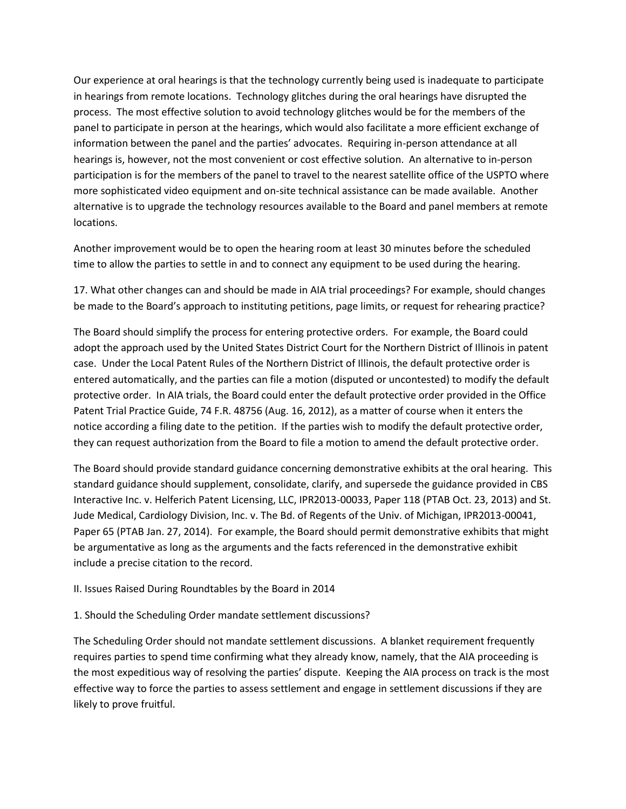Our experience at oral hearings is that the technology currently being used is inadequate to participate in hearings from remote locations. Technology glitches during the oral hearings have disrupted the process. The most effective solution to avoid technology glitches would be for the members of the panel to participate in person at the hearings, which would also facilitate a more efficient exchange of information between the panel and the parties' advocates. Requiring in-person attendance at all hearings is, however, not the most convenient or cost effective solution. An alternative to in-person participation is for the members of the panel to travel to the nearest satellite office of the USPTO where more sophisticated video equipment and on-site technical assistance can be made available. Another alternative is to upgrade the technology resources available to the Board and panel members at remote locations.

Another improvement would be to open the hearing room at least 30 minutes before the scheduled time to allow the parties to settle in and to connect any equipment to be used during the hearing.

17. What other changes can and should be made in AIA trial proceedings? For example, should changes be made to the Board's approach to instituting petitions, page limits, or request for rehearing practice?

The Board should simplify the process for entering protective orders. For example, the Board could adopt the approach used by the United States District Court for the Northern District of Illinois in patent case. Under the Local Patent Rules of the Northern District of Illinois, the default protective order is entered automatically, and the parties can file a motion (disputed or uncontested) to modify the default protective order. In AIA trials, the Board could enter the default protective order provided in the Office Patent Trial Practice Guide, 74 F.R. 48756 (Aug. 16, 2012), as a matter of course when it enters the notice according a filing date to the petition. If the parties wish to modify the default protective order, they can request authorization from the Board to file a motion to amend the default protective order.

The Board should provide standard guidance concerning demonstrative exhibits at the oral hearing. This standard guidance should supplement, consolidate, clarify, and supersede the guidance provided in CBS Interactive Inc. v. Helferich Patent Licensing, LLC, IPR2013-00033, Paper 118 (PTAB Oct. 23, 2013) and St. Jude Medical, Cardiology Division, Inc. v. The Bd. of Regents of the Univ. of Michigan, IPR2013-00041, Paper 65 (PTAB Jan. 27, 2014). For example, the Board should permit demonstrative exhibits that might be argumentative as long as the arguments and the facts referenced in the demonstrative exhibit include a precise citation to the record.

## II. Issues Raised During Roundtables by the Board in 2014

1. Should the Scheduling Order mandate settlement discussions?

The Scheduling Order should not mandate settlement discussions. A blanket requirement frequently requires parties to spend time confirming what they already know, namely, that the AIA proceeding is the most expeditious way of resolving the parties' dispute. Keeping the AIA process on track is the most effective way to force the parties to assess settlement and engage in settlement discussions if they are likely to prove fruitful.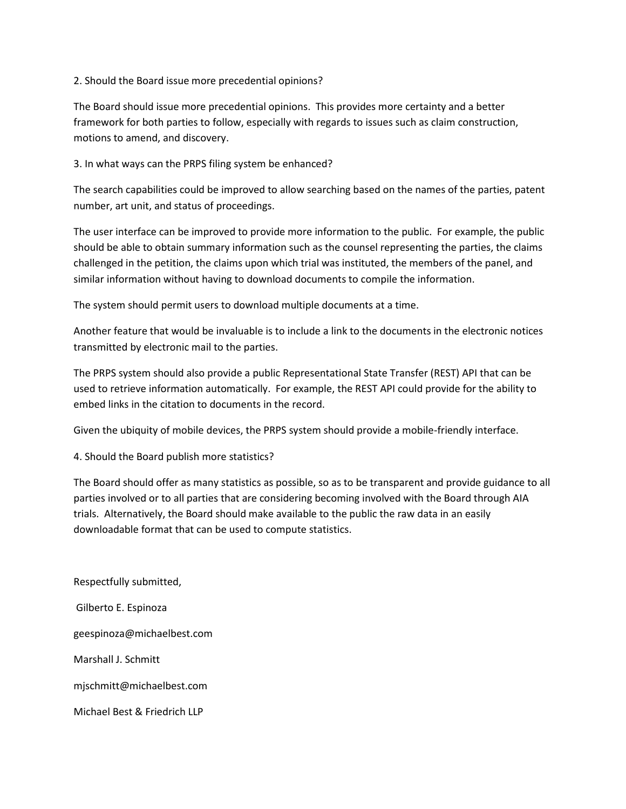## 2. Should the Board issue more precedential opinions?

The Board should issue more precedential opinions. This provides more certainty and a better framework for both parties to follow, especially with regards to issues such as claim construction, motions to amend, and discovery.

## 3. In what ways can the PRPS filing system be enhanced?

The search capabilities could be improved to allow searching based on the names of the parties, patent number, art unit, and status of proceedings.

The user interface can be improved to provide more information to the public. For example, the public should be able to obtain summary information such as the counsel representing the parties, the claims challenged in the petition, the claims upon which trial was instituted, the members of the panel, and similar information without having to download documents to compile the information.

The system should permit users to download multiple documents at a time.

Another feature that would be invaluable is to include a link to the documents in the electronic notices transmitted by electronic mail to the parties.

The PRPS system should also provide a public Representational State Transfer (REST) API that can be used to retrieve information automatically. For example, the REST API could provide for the ability to embed links in the citation to documents in the record.

Given the ubiquity of mobile devices, the PRPS system should provide a mobile-friendly interface.

4. Should the Board publish more statistics?

The Board should offer as many statistics as possible, so as to be transparent and provide guidance to all parties involved or to all parties that are considering becoming involved with the Board through AIA trials. Alternatively, the Board should make available to the public the raw data in an easily downloadable format that can be used to compute statistics.

Respectfully submitted, Gilberto E. Espinoza geespinoza@michaelbest.com Marshall J. Schmitt mjschmitt@michaelbest.com Michael Best & Friedrich LLP